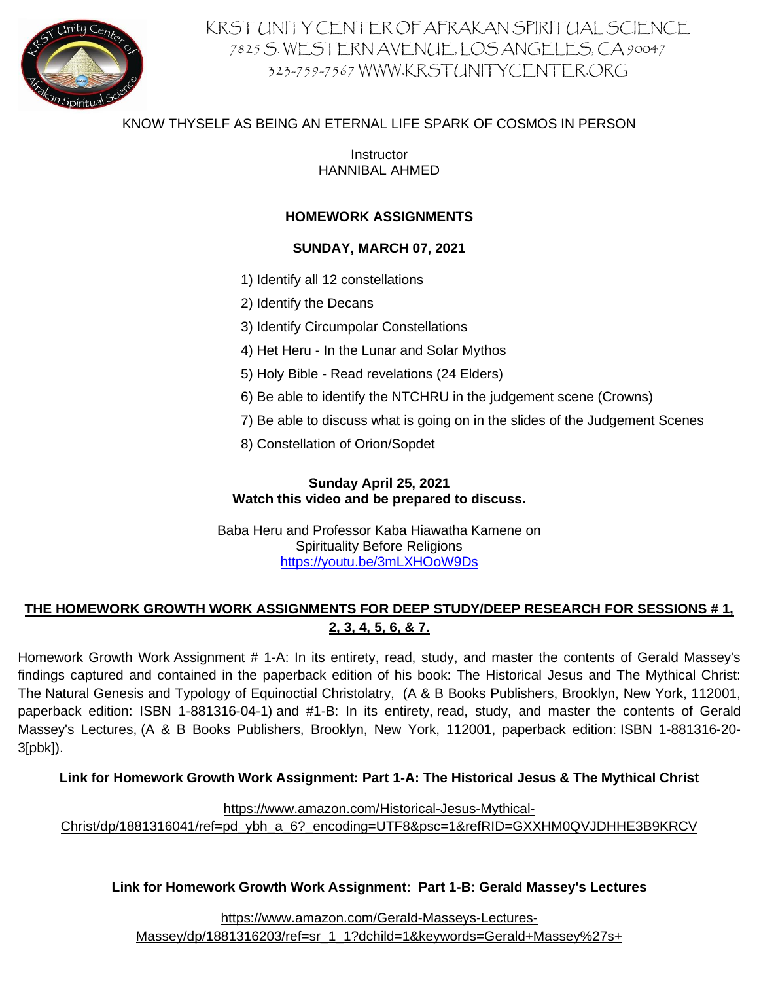

# KRST UNITY CENTER OF AFRAKAN SPIRITUAL SCIENCE 7825 S. WESTERN AVENUE, LOS ANGELES, CA 90047 323-759-7567 WWW.KRSTUNITYCENTER.ORG

# KNOW THYSELF AS BEING AN ETERNAL LIFE SPARK OF COSMOS IN PERSON

Instructor HANNIBAL AHMED

# **HOMEWORK ASSIGNMENTS**

### **SUNDAY, MARCH 07, 2021**

- 1) Identify all 12 constellations
- 2) Identify the Decans
- 3) Identify Circumpolar Constellations
- 4) Het Heru In the Lunar and Solar Mythos
- 5) Holy Bible Read revelations (24 Elders)
- 6) Be able to identify the NTCHRU in the judgement scene (Crowns)
- 7) Be able to discuss what is going on in the slides of the Judgement Scenes
- 8) Constellation of Orion/Sopdet

### **Sunday April 25, 2021 Watch this video and be prepared to discuss.**

Baba Heru and Professor Kaba Hiawatha Kamene on Spirituality Before Religions <https://youtu.be/3mLXHOoW9Ds>

# **THE HOMEWORK GROWTH WORK ASSIGNMENTS FOR DEEP STUDY/DEEP RESEARCH FOR SESSIONS # 1, 2, 3, 4, 5, 6, & 7.**

Homework Growth Work Assignment # 1-A: In its entirety, read, study, and master the contents of Gerald Massey's findings captured and contained in the paperback edition of his book: The Historical Jesus and The Mythical Christ: The Natural Genesis and Typology of Equinoctial Christolatry, (A & B Books Publishers, Brooklyn, New York, 112001, paperback edition: ISBN 1-881316-04-1) and #1-B: In its entirety, read, study, and master the contents of Gerald Massey's Lectures, (A & B Books Publishers, Brooklyn, New York, 112001, paperback edition: ISBN 1-881316-20- 3[pbk]).

#### **Link for Homework Growth Work Assignment: Part 1-A: The Historical Jesus & The Mythical Christ**

[https://www.amazon.com/H](https://na01.safelinks.protection.outlook.com/?url=https%3A%2F%2Fwww.amazon.com%2F&data=04%7C01%7C%7C5b8211430c014910a36308d903f569ff%7C84df9e7fe9f640afb435aaaaaaaaaaaa%7C1%7C0%7C637545174849581092%7CUnknown%7CTWFpbGZsb3d8eyJWIjoiMC4wLjAwMDAiLCJQIjoiV2luMzIiLCJBTiI6Ik1haWwiLCJXVCI6Mn0%3D%7C1000&sdata=XfMuqvO1CoX8jJeatFZ2JwZQziTcxiiXf9sEo7%2FMebM%3D&reserved=0)istorical-Jesus-Mythical-Christ/dp/1881316041/ref=pd\_ybh\_a\_6?\_encoding=UTF8&psc=1&refRID=GXXHM0QVJDHHE3B9KRCV

#### **Link for Homework Growth Work Assignment: Part 1-B: Gerald Massey's Lectures**

[https://www.amazon.com/Gerald-M](https://na01.safelinks.protection.outlook.com/?url=https%3A%2F%2Fwww.amazon.com%2FGerald-&data=04%7C01%7C%7C5b8211430c014910a36308d903f569ff%7C84df9e7fe9f640afb435aaaaaaaaaaaa%7C1%7C0%7C637545174849591076%7CUnknown%7CTWFpbGZsb3d8eyJWIjoiMC4wLjAwMDAiLCJQIjoiV2luMzIiLCJBTiI6Ik1haWwiLCJXVCI6Mn0%3D%7C1000&sdata=UeGWwF2ATcj6ZBezKSpdEV7zNVaU1JAJER4y8Vc5PXI%3D&reserved=0)asseys-Lectures-

Massey/dp/1881316203/ref=sr\_1\_1?dchild=1&keywords=Gerald+Massey%27s+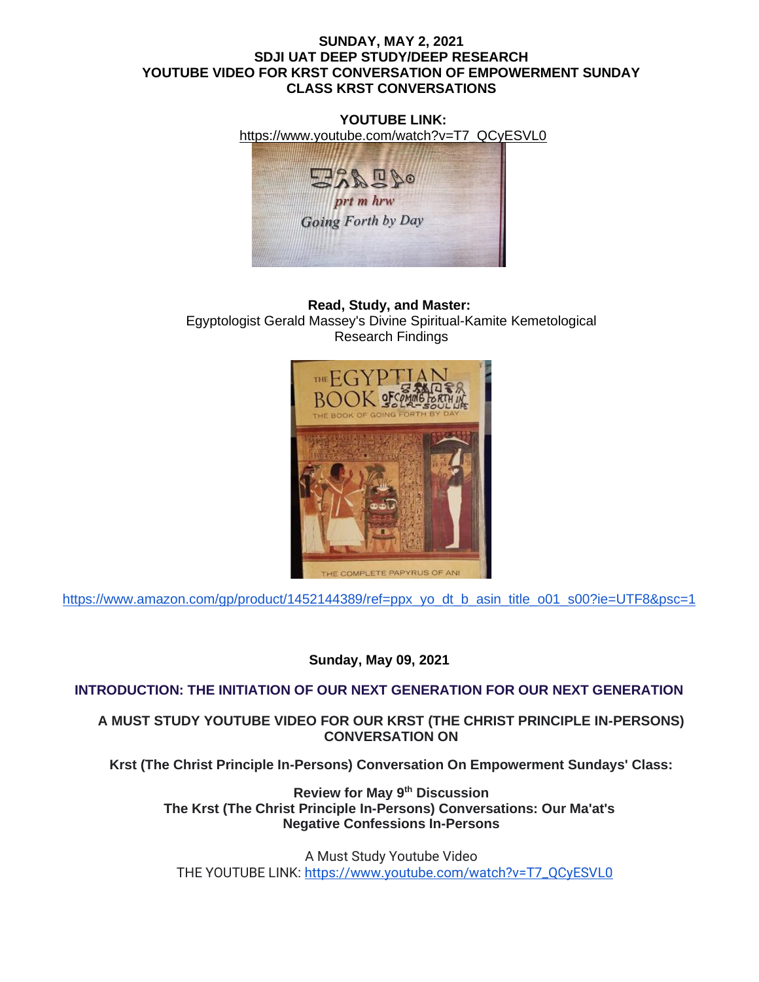#### **SUNDAY, MAY 2, 2021 SDJI UAT DEEP STUDY/DEEP RESEARCH YOUTUBE VIDEO FOR KRST CONVERSATION OF EMPOWERMENT SUNDAY CLASS KRST CONVERSATIONS**

**YOUTUBE LINK:** [https://www.youtube.com/watch?v=T7\\_QCyESVL0](https://www.youtube.com/watch?v=T7_QCyESVL0)  $\frac{1}{2}$ prt m hrw **Going Forth by Day** 

**Read, Study, and Master:** Egyptologist Gerald Massey's Divine Spiritual-Kamite Kemetological Research Findings



[https://www.amazon.com/gp/product/1452144389/ref=ppx\\_yo\\_dt\\_b\\_asin\\_title\\_o01\\_s00?ie=UTF8&psc=1](https://www.amazon.com/gp/product/1452144389/ref=ppx_yo_dt_b_asin_title_o01_s00?ie=UTF8&psc=1)

**Sunday, May 09, 2021**

# **INTRODUCTION: THE INITIATION OF OUR NEXT GENERATION FOR OUR NEXT GENERATION**

**A MUST STUDY YOUTUBE VIDEO FOR OUR KRST (THE CHRIST PRINCIPLE IN-PERSONS) CONVERSATION ON**

**Krst (The Christ Principle In-Persons) Conversation On Empowerment Sundays' Class:**

**Review for May 9th Discussion The Krst (The Christ Principle In-Persons) Conversations: Our Ma'at's Negative Confessions In-Persons**

A Must Study Youtube Video THE YOUTUBE LINK: [https://www.youtube.com/watch?v=T7\\_QCyESVL0](https://www.youtube.com/watch?v=T7_QCyESVL0)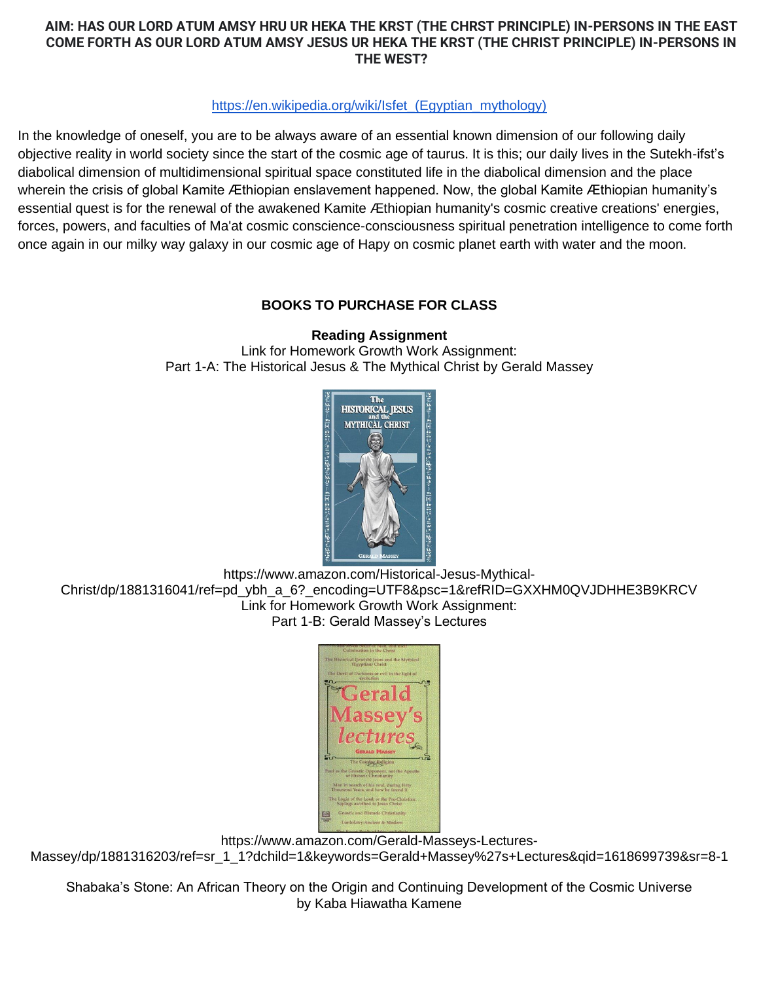# **AIM: HAS OUR LORD ATUM AMSY HRU UR HEKA THE KRST (THE CHRST PRINCIPLE) IN-PERSONS IN THE EAST COME FORTH AS OUR LORD ATUM AMSY JESUS UR HEKA THE KRST (THE CHRIST PRINCIPLE) IN-PERSONS IN THE WEST?**

## [https://en.wikipedia.org/wiki/Isfet\\_\(Egyptian\\_mythology\)](https://en.wikipedia.org/wiki/Isfet_(Egyptian_mythology))

In the knowledge of oneself, you are to be always aware of an essential known dimension of our following daily objective reality in world society since the start of the cosmic age of taurus. It is this; our daily lives in the Sutekh-ifst's diabolical dimension of multidimensional spiritual space constituted life in the diabolical dimension and the place wherein the crisis of global Kamite Æthiopian enslavement happened. Now, the global Kamite Æthiopian humanity's essential quest is for the renewal of the awakened Kamite Æthiopian humanity's cosmic creative creations' energies, forces, powers, and faculties of Ma'at cosmic conscience-consciousness spiritual penetration intelligence to come forth once again in our milky way galaxy in our cosmic age of Hapy on cosmic planet earth with water and the moon.

# **BOOKS TO PURCHASE FOR CLASS**

**Reading Assignment** Link for Homework Growth Work Assignment: Part 1-A: The Historical Jesus & The Mythical Christ by Gerald Massey



https://www.amazon.com/Historical-Jesus-Mythical-Christ/dp/1881316041/ref=pd\_ybh\_a\_6?\_encoding=UTF8&psc=1&refRID=GXXHM0QVJDHHE3B9KRCV Link for Homework Growth Work Assignment: Part 1-B: Gerald Massey's Lectures



https://www.amazon.com/Gerald-Masseys-Lectures-

Massey/dp/1881316203/ref=sr\_1\_1?dchild=1&keywords=Gerald+Massey%27s+Lectures&qid=1618699739&sr=8-1

Shabaka's Stone: An African Theory on the Origin and Continuing Development of the Cosmic Universe by Kaba Hiawatha Kamene